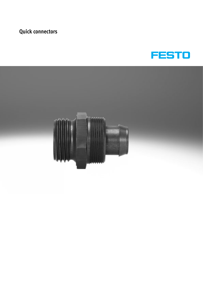

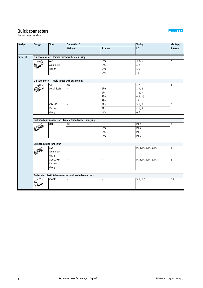Product range overview

| Design          | Design | Type                              | <b>Connection D1</b>                                                                                     |                                            | <b>Tubing</b>          | $\rightarrow$ Page/ |  |
|-----------------|--------|-----------------------------------|----------------------------------------------------------------------------------------------------------|--------------------------------------------|------------------------|---------------------|--|
|                 |        |                                   | <b>M</b> thread                                                                                          | <b>G</b> thread                            | I.D.                   | Internet            |  |
| <b>Straight</b> |        |                                   | Quick connector - Female thread with sealing ring                                                        |                                            |                        |                     |  |
|                 |        | ACK                               |                                                                                                          | $G\frac{1}{8}$                             | 3, 4, 6                | 5                   |  |
|                 |        | Aluminium                         |                                                                                                          | G1/4                                       | 4,6                    |                     |  |
|                 |        | design                            |                                                                                                          | $\mathsf{G}^3\!/\!8$                       | 6, 9                   |                     |  |
|                 |        |                                   |                                                                                                          | G1/2                                       | 13                     |                     |  |
|                 |        |                                   |                                                                                                          |                                            |                        |                     |  |
|                 |        |                                   | Quick connector - Male thread with sealing ring                                                          |                                            |                        |                     |  |
|                 |        | $\overline{\mathsf{CK}}$          | M <sub>5</sub>                                                                                           | $\equiv$                                   | 3,4                    | 6                   |  |
|                 |        | Metal design                      | $\overline{\phantom{0}}$                                                                                 | $G\frac{1}{8}$                             | 3, 4, 6                |                     |  |
|                 |        |                                   |                                                                                                          | G1/4                                       | 4, 6, 9                |                     |  |
|                 |        |                                   |                                                                                                          | $G\frac{3}{8}$                             | 6, 9, 13               |                     |  |
|                 |        |                                   |                                                                                                          | G1/2                                       | 13                     |                     |  |
|                 |        | <b>CK--KU</b>                     | $\equiv$                                                                                                 | $\mathsf{G}^{1}\!/\!\mathsf{s}$            | 3, 4, 6                | $\overline{7}$      |  |
|                 |        | Polymer                           |                                                                                                          | $\mathsf{G}\mathsf{1}\mathsf{/}\mathsf{4}$ | 4, 6, 9                |                     |  |
|                 |        | design                            |                                                                                                          | $G\frac{3}{8}$                             | 6, 9                   |                     |  |
|                 |        | QCK                               | Bulkhead quick connector - Female thread with sealing ring<br>M <sub>5</sub><br>$\overline{\phantom{0}}$ | $\equiv$<br>$\sqrt{61/8}$                  | $PK-3$<br>$PK-4$       | 8                   |  |
|                 |        |                                   |                                                                                                          | G1/4                                       | <b>PK-6</b>            |                     |  |
|                 |        |                                   |                                                                                                          | $G\frac{3}{8}$                             | PK-9                   |                     |  |
|                 |        |                                   |                                                                                                          |                                            |                        |                     |  |
|                 |        | <b>Bulkhead quick connector</b>   |                                                                                                          |                                            |                        |                     |  |
|                 |        | <b>SCK</b><br>Aluminium<br>design | $\overline{\phantom{0}}$                                                                                 | L,                                         | PK-3, PK-4, PK-6, PK-9 | 9                   |  |
|                 |        | SCK--KU                           | $\overline{\phantom{0}}$                                                                                 | $\overline{\phantom{0}}$                   | PK-3, PK-4, PK-6, PK-9 | 9                   |  |
|                 |        | Polymer                           |                                                                                                          |                                            |                        |                     |  |
|                 |        | design                            |                                                                                                          |                                            |                        |                     |  |
|                 |        |                                   | End cap for plastic tube connectors and barbed connectors                                                |                                            |                        |                     |  |
|                 |        | <b>CV-PK</b>                      |                                                                                                          | L,                                         | 3, 4, 6, 9             | 10                  |  |
|                 |        |                                   |                                                                                                          |                                            |                        |                     |  |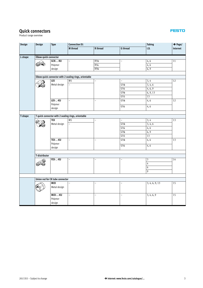Product range overview

| Design  | Design                                                 | <b>Type</b>                     | <b>Connection D1</b> |                          | <b>Tubing</b>                | $\rightarrow$ Page/ |          |  |  |  |  |  |  |
|---------|--------------------------------------------------------|---------------------------------|----------------------|--------------------------|------------------------------|---------------------|----------|--|--|--|--|--|--|
|         |                                                        |                                 | <b>M</b> thread      | R thread                 | <b>G</b> thread              | I.D.                | Internet |  |  |  |  |  |  |
|         |                                                        |                                 |                      |                          |                              |                     |          |  |  |  |  |  |  |
| L-shape | <b>Elbow quick connector</b>                           |                                 |                      |                          |                              |                     |          |  |  |  |  |  |  |
|         |                                                        | GCK--KU                         | $\frac{1}{2}$        | $R\frac{1}{8}$           | $\overline{a}$               | 4, 6                | 11       |  |  |  |  |  |  |
|         | 624                                                    | Polymer                         |                      | $R\frac{1}{4}$           |                              | 4, 6                |          |  |  |  |  |  |  |
|         |                                                        | design                          |                      | $R\frac{3}{8}$           |                              | 6, 9                |          |  |  |  |  |  |  |
|         |                                                        |                                 |                      |                          |                              |                     |          |  |  |  |  |  |  |
|         | Elbow quick connector with 2 sealing rings, orientable |                                 |                      |                          |                              |                     |          |  |  |  |  |  |  |
|         |                                                        | <b>ICK</b>                      | M <sub>5</sub>       | $\equiv$                 | $\equiv$                     | 3,4                 | 12       |  |  |  |  |  |  |
|         |                                                        | Metal design                    | $\equiv$             |                          | $G\frac{1}{8}$               | 3, 4, 6             |          |  |  |  |  |  |  |
|         |                                                        |                                 |                      |                          | G1/4                         | 4, 6, 9             |          |  |  |  |  |  |  |
|         |                                                        |                                 |                      |                          | $G\frac{3}{8}$               | 6, 9, 13            |          |  |  |  |  |  |  |
|         |                                                        |                                 |                      |                          | G1/2                         | 13                  |          |  |  |  |  |  |  |
|         |                                                        | LCK--KU                         | $\bar{\phantom{a}}$  | $\bar{ }$                | $\mathsf{G}1\!/\!\mathsf{s}$ | 4, 6                | 12       |  |  |  |  |  |  |
|         |                                                        | Polymer                         |                      |                          | G1/4                         |                     |          |  |  |  |  |  |  |
|         |                                                        | design                          |                      |                          |                              | 4,6                 |          |  |  |  |  |  |  |
|         |                                                        |                                 |                      |                          |                              |                     |          |  |  |  |  |  |  |
| T-shape | T quick connector with 2 sealing rings, orientable     |                                 |                      |                          |                              |                     |          |  |  |  |  |  |  |
|         |                                                        | <b>TCK</b>                      | M <sub>5</sub>       | $\overline{\phantom{0}}$ | $\overline{\phantom{0}}$     | 3, 4                | 13       |  |  |  |  |  |  |
|         |                                                        | Metal design                    | $\equiv$             |                          | $\mathsf{G}1\!/\!\mathsf{s}$ | 3, 4, 6             |          |  |  |  |  |  |  |
|         |                                                        |                                 |                      |                          | G1/4                         | 4, 6                |          |  |  |  |  |  |  |
|         |                                                        |                                 |                      |                          | $G\frac{3}{8}$               | 6, 9                |          |  |  |  |  |  |  |
|         |                                                        |                                 |                      |                          | G1/2                         | 13                  |          |  |  |  |  |  |  |
|         |                                                        | TCK--KU                         | $\overline{a}$       | $\overline{\phantom{a}}$ | $G\frac{1}{8}$               | 4, 6                | 13       |  |  |  |  |  |  |
|         |                                                        | Polymer                         |                      |                          | G1/4                         | 4, 6                |          |  |  |  |  |  |  |
|         |                                                        | design                          |                      |                          |                              |                     |          |  |  |  |  |  |  |
|         |                                                        |                                 |                      |                          |                              |                     |          |  |  |  |  |  |  |
|         | <b>T-distributor</b>                                   |                                 |                      |                          |                              |                     |          |  |  |  |  |  |  |
|         |                                                        | FCK--KU                         | $\overline{a}$       | L.                       | $\overline{\phantom{0}}$     | 3                   | 14       |  |  |  |  |  |  |
|         | ٩                                                      |                                 |                      |                          |                              | 4                   |          |  |  |  |  |  |  |
|         |                                                        |                                 |                      |                          |                              | 6                   |          |  |  |  |  |  |  |
|         |                                                        |                                 |                      |                          |                              | 9                   |          |  |  |  |  |  |  |
|         |                                                        |                                 |                      |                          |                              |                     |          |  |  |  |  |  |  |
|         |                                                        | Union nut for CK tube connector |                      |                          |                              |                     |          |  |  |  |  |  |  |
|         |                                                        | <b>MCK</b>                      | $\equiv$             | L.                       | $\overline{\phantom{0}}$     | 3, 4, 6, 9, 13      | 15       |  |  |  |  |  |  |
|         |                                                        | Metal design                    |                      |                          |                              |                     |          |  |  |  |  |  |  |
|         |                                                        |                                 |                      |                          |                              |                     |          |  |  |  |  |  |  |
|         |                                                        | MCK--KU                         | $\overline{a}$       | $\equiv$                 | $\overline{\phantom{0}}$     | 3, 4, 6, 9          | 15       |  |  |  |  |  |  |
|         |                                                        | Polymer                         |                      |                          |                              |                     |          |  |  |  |  |  |  |
|         |                                                        | design                          |                      |                          |                              |                     |          |  |  |  |  |  |  |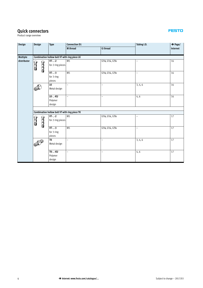Product range overview

| Design      | Design                         | Type                                                 | <b>Connection D1</b>     |                                                  | Tubing I.D.              | $\rightarrow$ Page/ |  |  |  |  |  |
|-------------|--------------------------------|------------------------------------------------------|--------------------------|--------------------------------------------------|--------------------------|---------------------|--|--|--|--|--|
|             |                                |                                                      | M thread                 | <b>G</b> thread                                  |                          | Internet            |  |  |  |  |  |
|             |                                |                                                      |                          |                                                  |                          |                     |  |  |  |  |  |
| Multiple    |                                | Combination hollow bolt VT with ring piece LK        |                          |                                                  |                          |                     |  |  |  |  |  |
| distributor |                                | $VT - 2$                                             | M <sub>5</sub>           | $G\frac{1}{8}$ , $G\frac{1}{4}$ , $G\frac{3}{8}$ | $\overline{\phantom{0}}$ | 16                  |  |  |  |  |  |
|             | <b>COLOR</b><br><b>MAGESCO</b> | for 2 ring pieces                                    |                          |                                                  |                          |                     |  |  |  |  |  |
|             |                                | $VT - 3$                                             | M <sub>5</sub>           | $G\frac{1}{8}$ , $G\frac{1}{4}$ , $G\frac{3}{8}$ | $\overline{\phantom{0}}$ | 16                  |  |  |  |  |  |
|             |                                | for 3 ring                                           |                          |                                                  |                          |                     |  |  |  |  |  |
|             |                                | pieces                                               |                          |                                                  |                          |                     |  |  |  |  |  |
|             |                                | LK                                                   | $\overline{\phantom{0}}$ | $\overline{\phantom{0}}$                         | 3, 4, 6                  | 16                  |  |  |  |  |  |
|             |                                | Metal design                                         |                          |                                                  |                          |                     |  |  |  |  |  |
|             |                                |                                                      |                          |                                                  |                          |                     |  |  |  |  |  |
|             |                                | <b>LK--KU</b>                                        | $\overline{\phantom{0}}$ | $\overline{\phantom{0}}$                         | 4, 6                     | 16                  |  |  |  |  |  |
|             |                                | Polymer                                              |                          |                                                  |                          |                     |  |  |  |  |  |
|             |                                | design                                               |                          |                                                  |                          |                     |  |  |  |  |  |
|             |                                |                                                      |                          |                                                  |                          |                     |  |  |  |  |  |
|             |                                | <b>Combination hollow bolt VT with ring piece TK</b> |                          |                                                  |                          |                     |  |  |  |  |  |
|             |                                | $VT - 2$                                             | M <sub>5</sub>           | $G\frac{1}{8}$ , $G\frac{1}{4}$ , $G\frac{3}{8}$ | $\overline{\phantom{0}}$ | 17                  |  |  |  |  |  |
|             | <b>TACKO</b><br><b>ELLED</b>   | for 2 ring pieces                                    |                          |                                                  |                          |                     |  |  |  |  |  |
|             |                                | $VT - 3$                                             | M <sub>5</sub>           | G1/8, G1/4, G3/8                                 | $\overline{a}$           | 17                  |  |  |  |  |  |
|             |                                | for 3 ring                                           |                          |                                                  |                          |                     |  |  |  |  |  |
|             |                                | pieces                                               |                          |                                                  |                          |                     |  |  |  |  |  |
|             |                                | TK                                                   | $\equiv$                 | $\overline{a}$                                   | 3, 4, 6                  | 17                  |  |  |  |  |  |
|             |                                | Metal design                                         |                          |                                                  |                          |                     |  |  |  |  |  |
|             |                                | <b>TK--KU</b>                                        | $\overline{\phantom{0}}$ | $\overline{\phantom{0}}$                         | 4,6                      | 17                  |  |  |  |  |  |
|             |                                | Polymer                                              |                          |                                                  |                          |                     |  |  |  |  |  |
|             |                                | design                                               |                          |                                                  |                          |                     |  |  |  |  |  |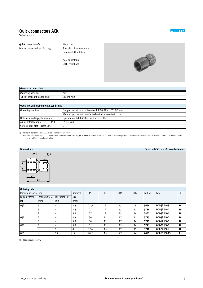# <span id="page-4-0"></span>**Quick connectors ACK**

Technical data

# **Quick connector ACK**

Female thread with sealing ring

Materials: Threaded plug: Aluminium Union nut: Aluminium

Note on materials: RoHS-compliant



| General technical data        |              |  |  |  |  |  |  |
|-------------------------------|--------------|--|--|--|--|--|--|
| Mounting position             | Anv          |  |  |  |  |  |  |
| Type of seal on threaded plug | Sealing ring |  |  |  |  |  |  |

| Operating and environmental conditions |                                                             |  |  |  |  |  |  |  |
|----------------------------------------|-------------------------------------------------------------|--|--|--|--|--|--|--|
| Operating medium                       | Compressed air in accordance with ISO 8573-1:2010 $[7:-:-]$ |  |  |  |  |  |  |  |
|                                        | Water as per manufacturer's declaration at www.festo.com    |  |  |  |  |  |  |  |
| Note on operating/pilot medium         | Operation with lubricated medium possible                   |  |  |  |  |  |  |  |
| Ambient temperature                    | $-10$ +60                                                   |  |  |  |  |  |  |  |
| Corrosion resistance class $CRC1$      |                                                             |  |  |  |  |  |  |  |

1) Corrosion resistance class CRC 2 to Festo standard FN 940070

 $\mathfrak{S}$  2

Moderate corrosion stress. Indoor applications in which condensation may occur. External visible parts with primarily decorative requirements for the surface and which are in direct contact with the ambient atmosphere typical for industrial applications.

#### $\overline{1}$  1 **Ordering data** Pneumatic connection Nominal L1 | L2 |  $\preceq$ C1 |  $\preceq$ C2 | Part No. Type  $|$  PU<sup>1)</sup> Female thread For tubing O.D. For tubing I.D. size D1 [mm] [mm] [mm] Gx 4 – 2.4 23.9 9 13 8 **5664 ACK-**x**-PK-3 10** 6 – 3.4 27 9 13 12 **3714 ACK-**x**-PK-4 10** 8 – 5.3 27 9 13 14 **7842 ACK-**x**-PK-6 10** G¼ 6 – 3.4 30 12 17 12 **3713 ACK-**¼**-PK-4 10** 8 – 5.3 30 12 17 14 **3712 ACK-**¼**-PK-6 10** Gy 8 – 5.3 31 12 19 14 **3711 ACK-**y**-PK-6 10** – 9 8 37.4 15 19 19 **3710 ACK-**y**-PK-9 10** G½ – 13 12 40.2 15 27 24 **4099 ACK-**½**-PK-13 1**

1) Packaging unit quantity

ΣÎ

 $L<sub>2</sub>$ 

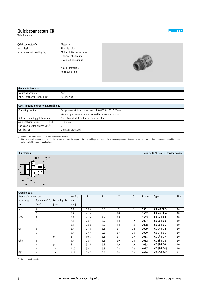<span id="page-5-0"></span>Technical data

#### **Quick connector CK** Metal design Male thread with sealing ring

Materials: Threaded plug M thread: Galvanised steel G thread: Aluminium Union nut: Aluminium

Note on materials: RoHS-compliant



| General technical data        |              |  |  |  |  |  |  |
|-------------------------------|--------------|--|--|--|--|--|--|
| <b>Mounting position</b>      | An           |  |  |  |  |  |  |
| Type of seal on threaded plug | Sealing ring |  |  |  |  |  |  |
|                               |              |  |  |  |  |  |  |

| Operating and environmental conditions |                                                             |  |  |  |  |  |  |
|----------------------------------------|-------------------------------------------------------------|--|--|--|--|--|--|
| Operating medium                       | Compressed air in accordance with ISO 8573-1:2010 $[7:-:-]$ |  |  |  |  |  |  |
|                                        | Water as per manufacturer's declaration at www.festo.com    |  |  |  |  |  |  |
| Note on operating/pilot medium         | Operation with lubricated medium possible                   |  |  |  |  |  |  |
| Ambient temperature<br>[°C]            | $-10+60$                                                    |  |  |  |  |  |  |
| Corrosion resistance class $CRC1$      |                                                             |  |  |  |  |  |  |
| Certification                          | Germanischer Lloyd                                          |  |  |  |  |  |  |

1) Corrosion resistance class CRC 2 to Festo standard FN 940070

Moderate corrosion stress. Indoor applications in which condensation may occur. External visible parts with primarily decorative requirements for the surface and which are in direct contact with the ambient atmosphere typical for industrial applications.

# **Dimensions** Download CAD data - **www.festo.com** -C 2 Σ

**FESTO** 

#### **Ordering data** Pneumatic connection Nominal size L1 | L2 |  $\preceq$  |  $\preceq$ C1 |Part No. Type  $|\text{PU}^1\rangle$ Male thread For tubing O.D. For tubing I.D. D1 [mm] [mm] [mm] [mm] M5 4 – 2.0 19.3 3.8 7 8 **3561 CK-M5-PK-3 10** 6 – 2.9 21.5 3.8 10 – **3562 CK-M5-PK-4 10** Gx 4 – 2.0 21.6 4.9 13 8 **3563 CK-**x**-PK-3 10** 6 – 2.9 24.7 4.9 13 12 **2027 CK-**x**-PK-4 10** 8 – 4.9 24.8 4.9 13 14 **2028 CK-**x**-PK-6 10** G¼ 6 – 2.9 27.2 5.8 17 12 **2029 CK-**¼**-PK-4 10** 8 – 4.9 27.3 5.8 17 14 **2030 CK-**¼**-PK-6 10** – 9 8 30.6 5.8 17 19 **2031 CK-**¼**-PK-9 10** Gy 8 – 4.9 28.3 6.8 19 14 **2032 CK-**y**-PK-6 10** – 9 8 31.6 6.8 19 19 **2033 CK-**y**-PK-9 10** – 13 11.7 33.2 6.8 24 24 **4097 CK-**y**-PK-13 10** G½ – 13 11.7 34.7 8.5 24 24 **4098 CK-**½**-PK-13 1**

1) Packaging unit quantity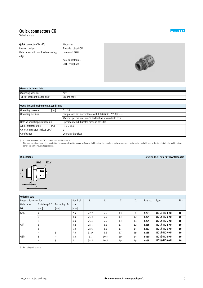<span id="page-6-0"></span>Technical data

#### **Quick connector CK-**…**-KU**

Polymer design Male thread with moulded-on sealing edge

Materials: Threaded plug: POM Union nut: POM

Note on materials: RoHS-compliant



| General technical data        |              |  |  |  |  |  |  |
|-------------------------------|--------------|--|--|--|--|--|--|
| <b>Mounting position</b>      | An           |  |  |  |  |  |  |
| Type of seal on threaded plug | Sealing edge |  |  |  |  |  |  |

| Operating and environmental conditions       |                                                             |  |  |  |  |
|----------------------------------------------|-------------------------------------------------------------|--|--|--|--|
| [bar]<br>Operating pressure                  | 010                                                         |  |  |  |  |
| Operating medium                             | Compressed air in accordance with ISO 8573-1:2010 $[7:-:-]$ |  |  |  |  |
|                                              | Water as per manufacturer's declaration at www.festo.com    |  |  |  |  |
| Note on operating/pilot medium               | Operation with lubricated medium possible                   |  |  |  |  |
| Ambient temperature                          | $-10$ +60                                                   |  |  |  |  |
| Corrosion resistance class CRC <sup>1)</sup> |                                                             |  |  |  |  |
| Certification                                | Germanischer Lloyd                                          |  |  |  |  |

1) Corrosion resistance class CRC 2 to Festo standard FN 940070

Moderate corrosion stress. Indoor applications in which condensation may occur. External visible parts with primarily decorative requirements for the surface and which are in direct contact with the ambient atmosphere typical for industrial applications.



**Ordering data** Pneumatic connection Nominal size L1 | L2 |  $=\text{C}$  |  $=\text{C}$ 1 | Part No. Type | PU<sup>1)</sup> Male thread For tubing O.D. For tubing I.D. D1 [mm] [mm] [mm] [mm] Gx 4 – 2.4 22.2 6.5 13 8 **6253 CK-**x**-PK-3-KU 10** 6 – 3.4 25.3 6.5 13 12 **6254 CK-**x**-PK-4-KU 10** 8 – 4.4 25.4 6.5 13 14 **6255 CK-**x**-PK-6-KU 10** G¼ 6 – 3.4 28.5 8.5 17 12 **6256 CK-**¼**-PK-4-KU 10** 8 – 5.3 28.6 8.5 17 14 **6257 CK-**¼**-PK-6-KU 10** – 9 7.3 31.9 8.5 17 19 **6258 CK-**¼**-PK-9-KU 10** Gy 8 – 5.3 31 10.5 19 14 **6460 CK-**y**-PK-6-KU 10** – 9 8 34.5 10.5 19 19 **6468 CK-**y**-PK-9-KU 10**

1) Packaging unit quantity

**Dimensions** Download CAD data - **www.festo.com**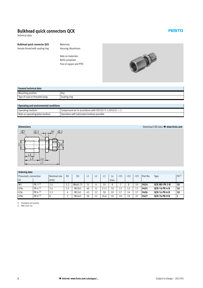# <span id="page-7-0"></span>**Bulkhead quick connectors QCK**

Technical data

**Bulkhead quick connector QCK** Female thread with sealing ring Materials: Housing: Aluminium

Note on materials: RoHS-compliant Free of copper and PTFE



| General technical data        |              |  |  |  |  |  |  |
|-------------------------------|--------------|--|--|--|--|--|--|
| <b>Mounting position</b>      | Any          |  |  |  |  |  |  |
| Type of seal on threaded plug | Sealing ring |  |  |  |  |  |  |
|                               |              |  |  |  |  |  |  |

#### **Operating and environmental conditions**

| $\sim$ , we have the contract of the contract of the contract of the contract of the contract of the contract of the contract of the contract of the contract of the contract of the contract of the contract of the contract o |                                                             |  |  |  |  |  |  |  |
|---------------------------------------------------------------------------------------------------------------------------------------------------------------------------------------------------------------------------------|-------------------------------------------------------------|--|--|--|--|--|--|--|
| Operating medium                                                                                                                                                                                                                | Compressed air in accordance with ISO 8573-1:2010 $[7:-:-]$ |  |  |  |  |  |  |  |
| Note on operating/pilot medium                                                                                                                                                                                                  | Operation with lubricated medium possible                   |  |  |  |  |  |  |  |



### **Ordering data**

| <b>UIGHIIS</b> GOLD  |            |              |                |                |    |                |      |      |                      |             |                |          |                       |                 |
|----------------------|------------|--------------|----------------|----------------|----|----------------|------|------|----------------------|-------------|----------------|----------|-----------------------|-----------------|
| Pneumatic connection |            | Nominal size | B <sub>1</sub> | D <sub>5</sub> |    |                | $-3$ | L4   | $\equiv$ $\approx$ 1 | $=\simeq$ 2 | $=\mathbb{C}3$ | Part No. | Type                  | PU <sup>1</sup> |
| D <sub>1</sub>       |            | [mm]         |                |                |    |                |      | max. |                      |             |                |          |                       |                 |
| M <sub>5</sub>       | $PK-3^{2}$ | 2.4          | 3.2            | M6x0.75        | 31 |                | 10   | 8    |                      |             | 10             | 9424     | OCK-M5-PK-3-B         | 10              |
| G <sup>1</sup> /8    | $PK-4^{2}$ | 3.4          | 3.5            | M10x1          | 40 |                | 13.5 | 10   | 13                   | 12          | 13             | 9425     | OCK-1/8-PK-4-B        | 10              |
| $G^{1/4}$            | $PK-62$    | 5.3          |                | M12x1          | 45 | 1 <sub>2</sub> | 18   | 10   | 17                   | 14          |                | 9426     | OCK-1/4-PK-6-B        | 10              |
| G <sup>3</sup> /8    | $PK-92$    | 8            |                | M16x1          | 50 |                | 18.6 | 10   | 19                   | 19          | 22             | 9427     | <b>OCK-3/8-PK-9-B</b> |                 |

1) Packaging unit quantity 2) With union nut

#### **Dimensions** Download CAD data - **www.festo.com**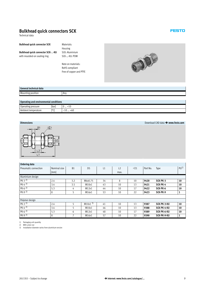# <span id="page-8-0"></span>**Bulkhead quick connectors SCK**

Technical data

#### **Bulkhead quick connector SCK Bulkhead quick connector SCK-**…**-KU** with moulded-on sealing ring Materials:

Housing SCK: Aluminium SCK-…-KU: POM

Note on materials: RoHS-compliant Free of copper and PTFE



| Gene<br>hnical data |    |
|---------------------|----|
| Mounting position   | An |
|                     |    |

| Operating and environmental conditions |                  |                    |  |  |  |  |
|----------------------------------------|------------------|--------------------|--|--|--|--|
| Operating pressure                     | [bar             | . .<br>TIV<br>◡…   |  |  |  |  |
| Ambient temperature                    | $I^{\circ}$<br>∼ | $-10+60$<br>$\sim$ |  |  |  |  |



# **Ordering data**

| Ordering data        |              |           |                |    |                |             |          |             |          |
|----------------------|--------------|-----------|----------------|----|----------------|-------------|----------|-------------|----------|
| Pneumatic connection | Nominal size | <b>B1</b> | D <sub>5</sub> | L1 | L <sub>2</sub> | $=\infty$ 1 | Part No. | Type        | $P(J^1)$ |
|                      | [mm]         |           |                |    | max.           |             |          |             |          |
| Aluminium design     |              |           |                |    |                |             |          |             |          |
| $PK-32)$             | 2.4          | 3.2       | M6x0.75        | 34 | 8              | 10          | 9420     | SCK-PK-3    | 10       |
| $PK-4^{2}$           | 3.4          | 3.5       | M10x1          | 43 | 10             | 13          | 9421     | SCK-PK-4    | 10       |
| $PK-6^{2}$           | 5.3          | 4         | M12x1          | 44 | 10             | 17          | 9422     | SCK-PK-6    | 10       |
| $PK-92$              | 8            | 5         | M16x1          | 53 | 10             | 22          | 9423     | SCK-PK-9    | 1        |
|                      |              |           |                |    |                |             |          |             |          |
| Polymer design       |              |           |                |    |                |             |          |             |          |
| $PK-32)$             | 2.4          | 5         | M10x13)        | 41 | 10             | 13          | 9387     | SCK-PK-3-KU | 10       |
| $PK-4^{2}$           | 3.4          | 5         | M10x1          | 46 | 10             | 13          | 9388     | SCK-PK-4-KU | 10       |
| $PK-6^{2}$           | 5.3          | 6         | M12x1          | 48 | 10             | 17          | 9389     | SCK-PK-6-KU | 10       |
| $PK-92$              | 8            |           | M16x1          | 57 | 10             | 22          | 9390     | SCK-PK-9-KU |          |
|                      |              |           |                |    |                |             |          |             |          |

1) Packaging unit quantity 2) With union nut

3) Installation diameter varies from aluminium version

**Dimensions** Download CAD data - **www.festo.com**

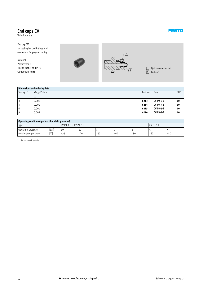# <span id="page-9-0"></span>**End caps CV**

Technical data

#### **End cap CV**

for sealing barbed fittings and connectors for polymer tubing

#### Material: Polyurethane Free of copper and PTFE Conforms to RoHS





1 Quick connector nut

[2] End cap

|             | Dimensions and ordering data |          |                  |     |
|-------------|------------------------------|----------|------------------|-----|
| Tubing I.D. | Weight/piece                 | Part No. | Type             | PU* |
|             | [g]                          |          |                  |     |
|             | 0.001                        | 6213     | <b>CV-PK-3-B</b> | 10  |
| 4           | 0.001                        | 6214     | <b>CV-PK-4-B</b> | 10  |
| b           | 0.001                        | 6215     | CV-PK-6-B        | 10  |
|             | 0.002                        | 6216     | CV-PK-9-B        | 10  |

| Operating conditions (permissible static pressure) |                      |       |             |     |       |       |       |  |  |  |
|----------------------------------------------------|----------------------|-------|-------------|-----|-------|-------|-------|--|--|--|
| Type                                               | CV-PK-3-B  CV-PK-6-B |       | $CV-PK-9-B$ |     |       |       |       |  |  |  |
| Operating pressure                                 | <b>Ibari</b>         | 10    | 10          |     |       |       |       |  |  |  |
| Ambient temperature                                | 25<br>ーづい            | $+20$ | $+40$       | +60 | $+80$ | $+60$ | $+80$ |  |  |  |

\* Packaging unit quantity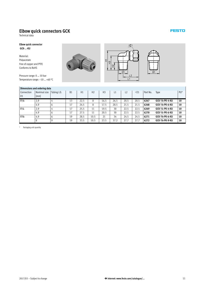# <span id="page-10-0"></span>**Elbow quick connectors GCK**

Technical data

#### **Elbow quick connector GCK-**…**-KU**

Material: Polyacetate Free of copper and PTFE Conforms to RoHS

Pressure range: 0 … 10 bar Temperature range: –10 … +60 °C







|                | Dimensions and ordering data |                |           |      |                |                |      |                |       |          |                 |        |
|----------------|------------------------------|----------------|-----------|------|----------------|----------------|------|----------------|-------|----------|-----------------|--------|
| Connection     | Nominal size                 | Tubing I.D.    | <b>B1</b> | H1   | H <sub>2</sub> | H <sub>3</sub> | L1   | L <sub>2</sub> | $=C1$ | Part No. | Type            | $PU^*$ |
| D <sub>1</sub> | [mm]                         |                |           |      |                |                |      |                |       |          |                 |        |
| $R\frac{1}{8}$ | 2.9                          | 4              | 13        | 22.5 | 8              | 16.5           | 26.5 | 20.5           | 20.5  | 6267     | GCK-1/8-PK-4-KU | 10     |
|                | 4.9                          | 6              | 17        | 24.5 | 8              | 17.5           | 28.5 | 21.5           | 21.5  | 6268     | GCK-1/8-PK-6-KU | 10     |
| $R^{1/4}$      | 2.9                          | 4              | 17        | 25.5 | 11             | 19.5           | 30   | 22.5           | 22.5  | 6269     | GCK-1/4-PK-4-KU | 10     |
|                | 4.9                          | <sub>t</sub> h | 17        | 27.5 | 11             | 20.5           | 30   | 22.5           | 22.5  | 6270     | GCK-1/4-PK-6-KU | 10     |
| $R^{3}/8$      | 4.9                          | <sub>t</sub> h | 19        | 28.5 | 10.5           | 21             | 34   | 24.5           | 24.5  | 6271     | GCK-3/8-PK-6-KU | 10     |
|                | 8                            | 9              | 19        | 33.5 | 10.5           | 23.5           | 37.2 | 27.7           | 27.7  | 6272     | GCK-3/8-PK-9-KU | 10     |

\* Packaging unit quantity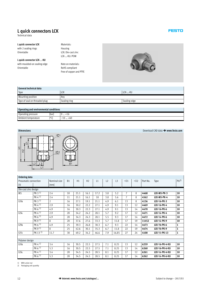# <span id="page-11-0"></span>**L quick connectors LCK**

Technical data

#### **L quick connector LCK** with 2 sealing rings Orientable

**L quick connector LCK-**…**-KU** with moulded-on sealing edge Orientable

Materials: Housing LCK: Die-cast zinc LCK-…-KU: POM

Note on materials: RoHS-compliant Free of copper and PTFE



| General technical data        |              |              |
|-------------------------------|--------------|--------------|
| Type                          | <b>LCK</b>   | LCK--KU      |
| <b>Mounting position</b>      | Any          |              |
| Type of seal on threaded plug | Sealing ring | Sealing edge |
|                               |              |              |

#### **Operating and environmental conditions**

| Operating pressure            | bar      | TIU<br>∪…                                    |  |  |  |  |  |  |
|-------------------------------|----------|----------------------------------------------|--|--|--|--|--|--|
| Ambient<br>temperature .<br>. | .00<br>╰ | $\sqrt{2}$<br>+60<br>$\sim$<br>.LU<br>$\sim$ |  |  |  |  |  |  |



| <b>Ordering data</b> |                      |                |           |      |                |      |                |                |                |       |          |                   |              |
|----------------------|----------------------|----------------|-----------|------|----------------|------|----------------|----------------|----------------|-------|----------|-------------------|--------------|
| Pneumatic connection |                      | Nominal size   | <b>B1</b> | H1   | H <sub>2</sub> | L1   | L <sub>2</sub> | L <sub>3</sub> | $=\infty$ 1    | $=32$ | Part No. | Type              | $P(J^2)$     |
| D <sub>1</sub>       |                      | [mm]           |           |      |                |      |                |                |                |       |          |                   |              |
| Die-cast zinc design |                      |                |           |      |                |      |                |                |                |       |          |                   |              |
| M <sub>5</sub>       | $PK-3^{1}$           | 2.4            | 10        | 21.1 | 16.1           | 17.2 | 3.8            | 5.2            | $\overline{7}$ | 8     | 4468     | LCK-M5-PK-3       | 10           |
|                      | $PK-41$              | 2.4            | 11        | 21.1 | 16.1           | 18   | 3.8            | 5.6            | 7              | 8     | 4562     | LCK-M5-PK-4       | 10           |
| G <sup>1</sup> /8    | $PK-31$              | $\overline{2}$ | 16        | 27.1 | 19.1           | 21.1 | 4.9            | 6.1            | 13             | 8     | 4136     | $LCK-1/8-PK-3$    | 10           |
|                      | $PK-4$ <sup>1)</sup> | 2.9            | 16        | 30.2 | 22.2           | 27.1 | 4.9            | 9.1            | 13             | 12    | 4469     | $LCK-1/8-PK-4$    | 10           |
|                      | $PK-61$              | 4.9            | 16        | 30.3 | 22.3           | 27.1 | 4.9            | 9.1            | 13             | 14    | 4470     | $LCK-1/8-PK-6$    | 10           |
| $G^{1/4}$            | $PK-41$              | 2.9            | 20        | 34.2 | 24.2           | 28.1 | 5.7            | 9.2            | 17             | 12    | 4471     | LCK-1/4-PK-4      | 10           |
|                      | $PK-61$              | 4.9            | 20        | 34.3 | 24.3           | 28.1 | 5.5            | 9.3            | 17             | 14    | 4472     | LCK-1/4-PK-6      | 10           |
|                      | PK-9 $1$             | 8              | 20        | 37.6 | 27.6           | 33.3 | 5.7            | 11.8           | 17             | 19    | 11452    | LCK-1/4-PK-9      | 10           |
| G <sup>3</sup> /8    | $PK-61$              | 4.9            | 25        | 39.3 | 26.8           | 30.3 | 6.7            | 9.3            | 22             | 14    | 4473     | LCK-3/8-PK-6      | $\mathbf{1}$ |
|                      | $PK-91$              | 8              | 25        | 42.6 | 30.1           | 35.3 | 6.7            | 11.8           | 22             | 19    | 4474     | LCK-3/8-PK-9      | $\mathbf{1}$ |
| G1/2                 | $PK-13^{1}$          | 11.7           | 30        | 49.2 | 34.2           | 46.6 | 7.9            | 16.85          | 27             | 24    | 4100     | LCK- $1/2$ -PK-13 | 1            |
|                      |                      |                |           |      |                |      |                |                |                |       |          |                   |              |
| Polymer design       |                      |                |           |      |                |      |                |                |                |       |          |                   |              |
| G <sup>1</sup> /8    | $PK-41$              | 3.4            | 16        | 30.5 | 22.5           | 27.5 | 7.1            | 8.25           | 13             | 12    | 6259     | LCK-1/8-PK-4-KU   | 10           |
|                      | $PK-6$ <sup>1)</sup> | 5.3            | 16        | 30.5 | 22.5           | 27.5 | 7.1            | 8.25           | 13             | 14    | 6260     | LCK-1/8-PK-6-KU   | 10           |
| $G^{1/4}$            | $PK-4^{1}$           | 3.4            | 20        | 34.5 | 24.5           | 28.5 | 8.1            | 8.25           | 17             | 12    | 6261     | LCK-1/4-PK-4-KU   | 10           |
|                      | $PK-61$              | 5.3            | 20        | 34.5 | 24.5           | 28.5 | 8.1            | 8.25           | 17             | 14    | 6262     | LCK-1/4-PK-6-KU   | 10           |

1) With union nut 2) Packaging unit quantity

**Dimensions** Download CAD data - **www.festo.com**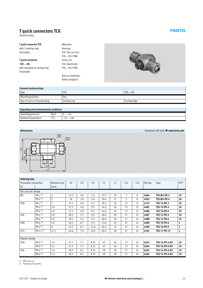# <span id="page-12-0"></span>**T quick connectors TCK**

Technical data

| <b>T</b> quick connector TCK | Materials:         |
|------------------------------|--------------------|
| with 2 sealing rings         | Housing            |
| Orientable                   | TCK: Die-cast zinc |
|                              | TCK--KU: POM       |
| T quick connector            | Union nut          |
| TCK-…-KU                     | TCK: Aluminium     |
| with moulded-on sealing ring | TCK--KU: POM       |
| Orientable                   |                    |
|                              | Note on materials  |

Note on materials: RoHS-compliant



#### **General technical data** Type Type The Test of the TCK TCK TCK-…-KU TCK-…-KU TCK-…-KU TCK-…-KU TCK-…-KU TCK-…-KU TCK-…-KU Mounting position Any Type of seal on threaded plug Sealing ring Sealing ring Sealing edge

#### **Operating and environmental conditions**

| $\sim$ , which is and christmanical conditions |      |                        |
|------------------------------------------------|------|------------------------|
| Operating pressure                             | (bar | ⊤⊥∪<br>◡…              |
| : Ambient<br>. temperature                     | mr'  | +6U<br>$\sim$<br>'⊥∪ … |



**Ordering data** Pneumatic connection  $|$  Nominal size  $|$  H1  $|$  H2  $|$  H3  $|$  L1  $|$  L2  $|$  = C2  $|$  Part No. Type  $|$  PU<sup>2)</sup>  $D1$   $\vert$  [mm] Die-cast zinc design M5 PK-3 1) 2 17.2 3.8 5.2 32.2 10 7 8 **4484 TCK-M5-PK-3 10** PK-4 1) 2 18 3.8 5.6 39.4 11 7 8 **4563 TCK-M5-PK-4 10** Gx PK-3 1) 2 21.1 4.9 6.1 38.2 16 13 8 **4137 TCK-**x**-PK-3 10** PK-4 1) 2.9 27.1 4.9 9.1 44.4 16 13 12 **4485 TCK-**x**-PK-4 10** PK-6 1) 4.9 27.1 4.9 9.1 44.6 16 13 14 **4486 TCK-**x**-PK-6 10** G¼ PK-4 1) 2.9 28.1 5.7 9.2 48.4 20 17 12 **4487 TCK-**¼**-PK-4 10** PK-6 1) 4.9 28.1 5.5 9.3 48.6 20 17 14 **4488 TCK-**¼**-PK-6 10** Gy PK-6 1) 4.9 30.3 6.7 9.3 53.6 25 22 14 **4489 TCK-**y**-PK-6 1** PK-9 1) 8 35.3 6.7 11.8 60.2 25 22 14 **4490 TCK-**y**-PK-9 1** G½ PK-13 1) 11.7 46.6 7.9 16.9 68.4 30 27 24 **4101 TCK-**½**-PK-13 1** Polymer design Gx PK-4 1) 3.4 27.5 7.1 8.25 45 16 13 12 **6263 TCK-**x**-PK-4-KU 10** PK-6 1) 5.3 27.5 7.1 8.25 45 16 13 14 **6264 TCK-**x**-PK-6-KU 10** G¼ PK-4 1) 3.4 28.5 8.1 8.25 49 20 17 12 **6265 TCK-**¼**-PK-4-KU 10** PK-6 1) 5.3 28.5 8.1 8.25 49 20 17 14 **6266 TCK-**¼**-PK-6-KU 10**

1) With union nut

2) Packaging unit quantity

**Dimensions** Download CAD data - **www.festo.com**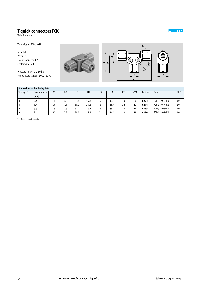# <span id="page-13-0"></span>**T quick connectors FCK**

Technical data

#### **T-distributor FCK-**…**-KU**

Material: Polymer Free of copper and PTFE Conforms to RoHS

Pressure range: 0 … 10 bar Temperature range: –10 … +60 °C





|             | Dimensions and ordering data |           |                |      |                |                |      |    |                      |          |               |                 |
|-------------|------------------------------|-----------|----------------|------|----------------|----------------|------|----|----------------------|----------|---------------|-----------------|
| Tubing I.D. | Nominal size<br>[mm]         | <b>B1</b> | D <sub>5</sub> | H1   | H <sub>2</sub> | H <sub>3</sub> | L1   | L2 | $\equiv$ $\approx$ 1 | Part No. | Type          | PU <sup>*</sup> |
|             |                              |           |                |      |                |                |      |    |                      |          |               |                 |
|             | 2.4                          | 11        | 4.3            | 23.8 | 19.8           |                | 39.6 | 10 | 8                    | 6273     | FCK-3-PK-3-KU | 10              |
|             | 3.4                          | 15        | 4.3            | 30.2 | 24.2           | ь              | 48.4 | 12 | 12                   | 6274     | FCK-3-PK-4-KU | 10              |
| 6           | 5.3                          | 18        | 4.3            | 31.2 | 24.2           | ь              | 48.4 | 12 | 14                   | 6275     | FCK-3-PK-6-KU | 10              |
| 9           |                              | 22        | 4.3            | 38.3 | 28.8           | 7.1            | 56.4 | 13 | 19                   | 6276     | FCK-3-PK-9-KU | 10              |

\* Packaging unit quantity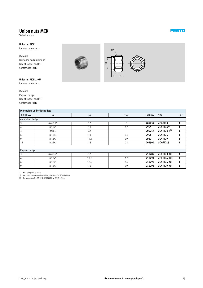# <span id="page-14-0"></span>**Union nuts MCK**

Technical data

## **Union nut MCK**

for tube connectors

Material: Blue anodised aluminium Free of copper and PTFE Conforms to RoHS

### **Union nut MCK-**…**-KU**

for tube connectors

Material: Polymer design Free of copper and PTFE Conforms to RoHS

### **Dimensions and ordering data**

|                  | <b>DIMENSIONS AND ORDERING UALA</b> |      |                   |          |                  |                 |
|------------------|-------------------------------------|------|-------------------|----------|------------------|-----------------|
| Tubing I.D.      | D <sub>1</sub>                      | L1   | $\equiv$ $\leq$ 1 | Part No. | Type             | PU <sup>*</sup> |
| Aluminium design |                                     |      |                   |          |                  |                 |
| 3                | M6x0.75                             | 8.5  | 8                 | 205254   | MCK-PK-3         |                 |
| 4                | M10x1                               | 11   | 12                | 2965     | $MCK-PK-41)$     |                 |
| 4                | M8x1                                | 9.5  |                   | 205257   | $MCK-PK-4-R2$    |                 |
| 6                | M12x1                               | 11   | 14                | 2966     | MCK-PK-6         |                 |
| 9                | M16x1                               | 14.4 | 19                | 2967     | MCK-PK-9         |                 |
| 13               | M22x1                               | 18   | 24                | 206504   | <b>MCK-PK-13</b> |                 |
|                  |                                     |      |                   |          |                  |                 |
| Polymer design   |                                     |      |                   |          |                  |                 |
| 3                | M6x0.75                             | 9.5  | 8                 | 211289   | MCK-PK-3-KU      | 1               |
| 4                | M10x1                               | 12.5 | 12                | 211291   | $MCK-PK-4-KU1$   |                 |
| 6                | M12x1                               | 12.5 | 14                | 211292   | MCK-PK-6-KU      |                 |
| 9                | M16x1                               | 16   | 19                | 211293   | MCK-PK-9-KU      |                 |

\* Packaging unit quantity 1) except for connectors CK-M5-PK-4, LCK-M5-PK-4, TCK-M5-PK-4 2) for connectors CK-M5-PK-4, LCK-M5-PK-4, TCK-M5-PK-4





**FESTO** 

 $\overline{\phantom{a}}$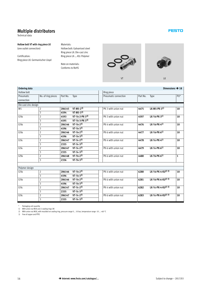# <span id="page-15-0"></span>**Multiple distributors**

Technical data

#### **Hollow bolt VT with ring piece LK** (one outlet connection)

Certification: Ring piece LK: Germanischer Lloyd

#### Materials:

Hollow bolt: Galvanised steel Ring piece LK: Die-cast zinc Ring piece LK-…-KU: Polymer

Note on materials: Conforms to RoHS





| <b>Ordering data</b>                |                                           |          |                           |                      |          | Dimensions $\rightarrow$ 18                 |                 |  |  |  |
|-------------------------------------|-------------------------------------------|----------|---------------------------|----------------------|----------|---------------------------------------------|-----------------|--|--|--|
| Hollow bolt                         |                                           |          |                           | Ring piece           |          |                                             |                 |  |  |  |
| Pneumatic                           | No. of ring pieces                        | Part No. | Type                      | Pneumatic connection | Part No. | Type                                        | PU <sup>*</sup> |  |  |  |
| connection                          |                                           |          |                           |                      |          |                                             |                 |  |  |  |
| Die-cast zinc design                |                                           |          |                           |                      |          |                                             |                 |  |  |  |
| M <sub>5</sub>                      | $\overline{2}$                            | 206145   | $VT-M5-2^3$               | PK-3 with union nut  | 4475     | LK-M5-PK-3 <sup>1)</sup>                    | 10              |  |  |  |
|                                     | $\overline{3}$                            | 4594     | $VT-M5-3^3)$              |                      |          |                                             |                 |  |  |  |
| G <sup>1</sup> /8                   | $\overline{2}$                            | 4593     | $VT-1/8-2-PK-3^3)$        | PK-3 with union nut  | 4597     | $LK - 1/8 - PK - 31)$                       | 10              |  |  |  |
|                                     | $\overline{\mathbf{3}}$                   | 4595     | $VT - 1/8 - 3 - PK - 33)$ |                      |          |                                             |                 |  |  |  |
| G <sup>1</sup> /8                   | $\overline{2}$                            | 206146   | $VT - 1/8 - 2^3)$         | PK-4 with union nut  | 4476     | $LK - 1/8 - PK - 41)$                       | 10              |  |  |  |
|                                     | $\overline{\mathbf{3}}$                   | 4596     | $VT - 1/8 - 3^3)$         |                      |          |                                             |                 |  |  |  |
| G <sup>1</sup> /8                   | $\overline{2}$                            | 206146   | $VT - 1/8 - 2^3)$         | PK-6 with union nut  | 4477     | $LK - 1/8 - PK - 61)$                       | 10              |  |  |  |
|                                     | $\overline{\mathbf{3}}$                   | 4596     | $VT - 1/8 - 33)$          |                      |          |                                             |                 |  |  |  |
| $G^{1/4}$                           | $\overline{2}$                            | 206147   | $VT - 1/4 - 2^3)$         | PK-4 with union nut  | 4478     | $LK - 1/4 - PK - 41)$                       | 10              |  |  |  |
|                                     | $\overline{3}$                            | 2335     | $VT - 1/4 - 3^3)$         |                      |          |                                             |                 |  |  |  |
| G1/4                                | $\overline{2}$                            | 206147   | $VT - 1/4 - 2^3)$         | PK-6 with union nut  | 4479     | $LK - 1/4 - PK - 61$                        | 10              |  |  |  |
|                                     | $\overline{\mathbf{3}}$                   | 2335     | $VT - 1/4 - 3^3)$         |                      |          |                                             |                 |  |  |  |
| G <sup>3</sup> /8                   | $\overline{2}$                            | 206148   | $VT - 3/8 - 2^3)$         | PK-6 with union nut  | 4480     | $LK-3/8-PK-61$                              | $\mathbf{1}$    |  |  |  |
|                                     | $\overline{3}$                            | 2336     | $VT - 3/8 - 33)$          |                      |          |                                             |                 |  |  |  |
|                                     |                                           |          |                           |                      |          |                                             |                 |  |  |  |
| Polymer design<br>G <sup>1</sup> /8 |                                           | 206146   | $VT - 1/8 - 2^3)$         | PK-4 with union nut  | 6280     | LK- $1/8$ -PK-4-KU <sup>2)</sup> 3)         | 10              |  |  |  |
|                                     | $\overline{2}$<br>$\overline{\mathbf{3}}$ | 4596     | $VT - 1/8 - 3^3)$         |                      |          |                                             |                 |  |  |  |
|                                     |                                           | 206146   | $VT - 1/8 - 2^3)$         | PK-6 with union nut  | 6281     | $LK-1/8-PK-6-KU2)$ 3)                       |                 |  |  |  |
| G <sup>1</sup> /8                   | $\overline{2}$<br>$\overline{\mathbf{3}}$ | 4596     | $VT-1/8-33)$              |                      |          |                                             | 10              |  |  |  |
|                                     |                                           |          | $VT - 1/4 - 2^{3}$        | PK-4 with union nut  |          | LK- $\frac{1}{4}$ -PK-4-KU <sup>2)</sup> 3) | 10              |  |  |  |
| G <sup>1</sup> / <sub>4</sub>       | $\overline{2}$                            | 206147   |                           |                      | 6282     |                                             |                 |  |  |  |
|                                     | $\overline{3}$                            | 2335     | $VT - 1/4 - 3^3)$         |                      |          |                                             |                 |  |  |  |
| G1/4                                | $\overline{2}$                            | 206147   | $VT - 1/4 - 2^3)$         | PK-6 with union nut  | 6283     | LK- $1/4$ -PK-6-KU <sup>2)</sup> 3)         | 10              |  |  |  |
|                                     | $\overline{\mathbf{3}}$                   | 2335     | $VT - 1/4 - 33$           |                      |          |                                             |                 |  |  |  |

\* Packaging unit quantity 1) With union nut MCK and 2 sealing rings OK 2) With union nut MCK, with moulded-on sealing ring, pressure range 0 … 10 bar, temperature range -10 … +60 °C

3) Free of copper and PTFE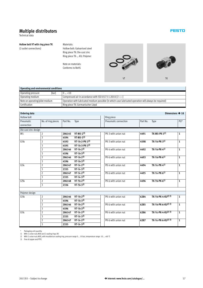# <span id="page-16-0"></span>**Multiple distributors**

Technical data

**Hollow bolt VT with ring piece TK** (2 outlet connections)

Materials:

Hollow bolt: Galvanised steel Ring piece TK: Die-cast zinc Ring piece TK-…-KU: Polymer

Note on materials: Conforms to RoHS





**FESTO** 

| Operating and environmental conditions |                                                                                                        |  |  |  |  |  |  |
|----------------------------------------|--------------------------------------------------------------------------------------------------------|--|--|--|--|--|--|
| [bar]<br>Operating pressure            | $0 - +10$                                                                                              |  |  |  |  |  |  |
| Operating medium                       | Compressed air in accordance with ISO 8573-1:2010 [7: $-:-$ ]                                          |  |  |  |  |  |  |
| Note on operating/pilot medium         | Operation with lubricated medium possible (in which case lubricated operation will always be required) |  |  |  |  |  |  |
| Certification                          | Ring piece TK: Germanischer Lloyd                                                                      |  |  |  |  |  |  |

| <b>Ordering data</b> |                         |                                                       |                            |                      |          | Dimensions $\rightarrow$ 18         |                              |  |  |  |
|----------------------|-------------------------|-------------------------------------------------------|----------------------------|----------------------|----------|-------------------------------------|------------------------------|--|--|--|
| <b>Hollow bolt</b>   |                         |                                                       |                            | Ring piece           |          |                                     |                              |  |  |  |
| Pneumatic            | No. of ring pieces      | Part No.                                              | Type                       | Pneumatic connection | Part No. | Type                                | PU <sup>*</sup>              |  |  |  |
| connection           |                         |                                                       |                            |                      |          |                                     |                              |  |  |  |
| Die-cast zinc design |                         |                                                       |                            |                      |          |                                     |                              |  |  |  |
| M <sub>5</sub>       | $\overline{2}$          | 206145                                                | $VT-M5-23$                 | PK-3 with union nut  | 4491     | TK-M5-PK-31)                        | 1                            |  |  |  |
|                      | $\overline{3}$          | 4594                                                  | $VT-M5-3^3$                |                      |          |                                     |                              |  |  |  |
| G <sup>1</sup> /8    | $\overline{2}$          | 4593                                                  | $VT - 1/8 - 2 - PK - 33)$  | PK-3 with union nut  | 4598     | TK- $1/8$ -PK-31)                   | $\mathbf{1}$                 |  |  |  |
|                      | $\overline{\mathbf{3}}$ | 4595                                                  | $VT - 1/8 - 3 - PK - 3^3)$ |                      |          |                                     | $\mathbf{1}$                 |  |  |  |
|                      | $\overline{2}$          | 206146                                                | $VT - 1/8 - 2^3)$          | PK-4 with union nut  | 4492     | TK- $1/8$ -PK-41)                   |                              |  |  |  |
|                      | $\overline{3}$          | 4596                                                  | $VT - 1/8 - 33)$           |                      |          |                                     |                              |  |  |  |
|                      | $\overline{2}$          | $VT - 1/8 - 2^3$<br>206146<br>$VT-1/8-3^{3})$<br>4596 |                            | PK-6 with union nut  | 4493     | TK- $1/8$ -PK-6 <sup>1)</sup>       | $\mathbf{1}$                 |  |  |  |
|                      | $\overline{3}$          |                                                       |                            |                      |          |                                     |                              |  |  |  |
| G1/4                 | $\overline{2}$          | 206147                                                | $VT - 1/4 - 2^{3}$         | PK-4 with union nut  | 4494     | TK- $1/4$ -PK- $4^{1}$              | $\mathbf{1}$                 |  |  |  |
|                      | $\overline{3}$          | 2335                                                  | $VT - 1/4 - 33)$           |                      |          |                                     |                              |  |  |  |
|                      | $\overline{2}$          | 206147                                                | $VT - 1/4 - 2^{3}$         | PK-6 with union nut  | 4495     | TK- $1/4$ -PK-61)                   | $\mathbf{1}$                 |  |  |  |
|                      | $\overline{3}$          | 2335                                                  | $VT - 1/4 - 3^3)$          |                      |          |                                     |                              |  |  |  |
| G <sup>3</sup> /8    | $\overline{2}$          | 206148                                                | $VT - 3/8 - 2^{3}$         | PK-6 with union nut  | 4496     | TK- $3/8$ -PK-6 <sup>1)</sup>       | $\mathbf{1}$                 |  |  |  |
|                      | $\overline{3}$          | 2336                                                  | $VT - 3/8 - 33)$           |                      |          |                                     |                              |  |  |  |
|                      |                         |                                                       |                            |                      |          |                                     |                              |  |  |  |
| Polymer design       |                         |                                                       |                            |                      |          |                                     |                              |  |  |  |
| G <sup>1</sup> /8    | $\overline{2}$          | 206146                                                | $VT - 1/8 - 2^3$           | PK-4 with union nut  | 6284     | TK- $1/8$ -PK-4-KU <sup>2)</sup> 3) | $\mathbf{1}$<br>$\mathbf{1}$ |  |  |  |
|                      | $\overline{3}$          | 4596                                                  | $VT - 1/8 - 3^3)$          |                      |          |                                     |                              |  |  |  |
|                      | $\overline{2}$          | 206146                                                | $VT - 1/8 - 23$            | PK-6 with union nut  | 6285     | TK- $1/8$ -PK-6-KU2) 3)             |                              |  |  |  |
|                      | $\overline{\mathbf{3}}$ | 4596                                                  | $VT - 1/8 - 3^3$           |                      |          |                                     |                              |  |  |  |
| G1/4                 | $\overline{2}$          | 206147                                                | $VT - 1/4 - 2^{3}$         | PK-4 with union nut  | 6286     | TK- $1/4$ -PK-4-KU <sup>2)</sup> 3) | $\mathbf{1}$                 |  |  |  |
|                      | $\overline{3}$          | 2335                                                  | $VT - 1/4 - 33$            |                      |          |                                     |                              |  |  |  |
|                      | $\overline{2}$          | 206147                                                | $VT - 1/4 - 2^{3}$         | PK-6 with union nut  | 6287     | TK- $1/4$ -PK-6-KU <sup>2)</sup> 3) | $\mathbf{1}$                 |  |  |  |
|                      | 3                       | 2335                                                  | $VT - 1/4 - 3^3)$          |                      |          |                                     |                              |  |  |  |

\* Packaging unit quantity 1) With 2 union nuts MCK and 2 sealing rings OK 2) With 2 union nuts MCK, with moulded-on sealing ring, pressure range 0 … 10 bar, temperature range -10 … +60 °C

3) Free of copper and PTFE